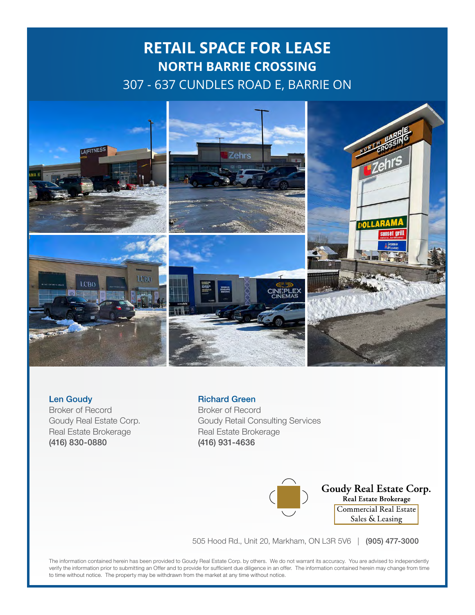# **RETAIL SPACE FOR LEASE NORTH BARRIE CROSSING** 307 - 637 CUNDLES ROAD E, BARRIE ON



### Len Goudy

Broker of Record Goudy Real Estate Corp. Real Estate Brokerage (416) 830-0880

#### Richard Green

Broker of Record Goudy Retail Consulting Services Real Estate Brokerage (416) 931-4636



**Goudy Real Estate Corp.**<br>Real Estate Brokerage Commercial Real Estate Sales & Leasing

505 Hood Rd., Unit 20, Markham, ON L3R 5V6 | (905) 477-3000

The information contained herein has been provided to Goudy Real Estate Corp. by others. We do not warrant its accuracy. You are advised to independently verify the information prior to submitting an Offer and to provide for sufficient due diligence in an offer. The information contained herein may change from time to time without notice. The property may be withdrawn from the market at any time without notice.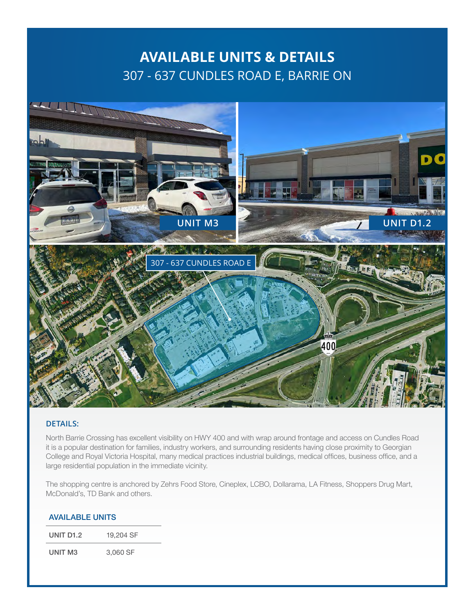### **AVAILABLE UNITS & DETAILS** 307 - 637 CUNDLES ROAD E, BARRIE ON



#### **DETAILS:**

North Barrie Crossing has excellent visibility on HWY 400 and with wrap around frontage and access on Cundles Road it is a popular destination for families, industry workers, and surrounding residents having close proximity to Georgian College and Royal Victoria Hospital, many medical practices industrial buildings, medical offices, business office, and a large residential population in the immediate vicinity.

The shopping centre is anchored by Zehrs Food Store, Cineplex, LCBO, Dollarama, LA Fitness, Shoppers Drug Mart, McDonald's, TD Bank and others.

| <b>AVAILABLE UNITS</b> |  |
|------------------------|--|
|                        |  |

UNIT D1.2 19,204 SF

UNIT M3 3,060 SF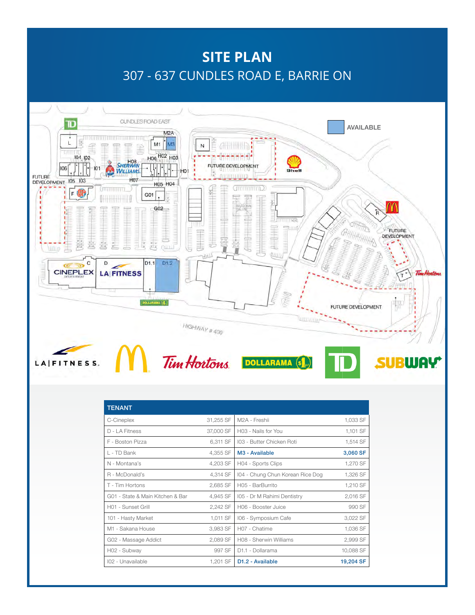## **SITE PLAN** 307 - 637 CUNDLES ROAD E, BARRIE ON



| <b>TENANT</b>                    |           |                                  |           |
|----------------------------------|-----------|----------------------------------|-----------|
| C-Cineplex                       | 31,255 SF | M <sub>2</sub> A - Freshii       | 1,033 SF  |
| $D - I$ A Fitness                | 37,000 SF | HO3 - Nails for You              | 1,101 SF  |
| F - Boston Pizza                 | 6.311 SF  | 103 - Butter Chicken Roti        | 1,514 SF  |
| I - TD Bank                      | 4,355 SF  | M <sub>3</sub> - Available       | 3,060 SF  |
| N - Montana's                    | 4,203 SF  | H04 - Sports Clips               | 1,270 SF  |
| R - McDonald's                   | 4,314 SF  | 104 - Chung Chun Korean Rice Dog | 1,326 SF  |
| T - Tim Hortons                  | 2,685 SF  | H05 - BarBurrito                 | 1,210 SF  |
| G01 - State & Main Kitchen & Bar | 4,945 SF  | 105 - Dr M Rahimi Dentistry      | 2,016 SF  |
| H01 - Sunset Grill               | 2,242 SF  | H06 - Booster Juice              | 990 SF    |
| 101 - Hasty Market               | 1,011 SF  | 106 - Symposium Cafe             | 3,022 SF  |
| M1 - Sakana House                | 3,983 SF  | H07 - Chatime                    | 1,036 SF  |
| G02 - Massage Addict             | 2,089 SF  | H08 - Sherwin Williams           | 2,999 SF  |
| H02 - Subway                     | 997 SF    | D <sub>1.1</sub> - Dollarama     | 10,088 SF |
| 102 - Unavailable                | 1,201 SF  | D <sub>1.2</sub> - Available     | 19,204 SF |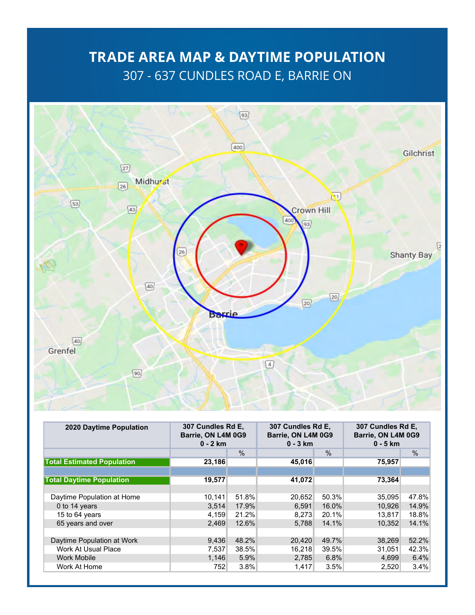## **TRADE AREA MAP & DAYTIME POPULATION** 307 - 637 CUNDLES ROAD E, BARRIE ON



| 2020 Daytime Population           | 307 Cundles Rd E,<br>Barrie, ON L4M 0G9<br>$0 - 2$ km |               | 307 Cundles Rd E,<br>Barrie, ON L4M 0G9<br>$0 - 3$ km |               | 307 Cundles Rd E,<br>Barrie, ON L4M 0G9<br>$0 - 5$ km |               |
|-----------------------------------|-------------------------------------------------------|---------------|-------------------------------------------------------|---------------|-------------------------------------------------------|---------------|
|                                   |                                                       | $\frac{0}{0}$ |                                                       | $\frac{0}{0}$ |                                                       | $\frac{0}{0}$ |
| <b>Total Estimated Population</b> | 23,186                                                |               | 45,016                                                |               | 75,957                                                |               |
|                                   |                                                       |               |                                                       |               |                                                       |               |
| <b>Total Daytime Population</b>   | 19,577                                                |               | 41,072                                                |               | 73,364                                                |               |
|                                   |                                                       |               |                                                       |               |                                                       |               |
| Daytime Population at Home        | 10,141                                                | 51.8%         | 20,652                                                | 50.3%         | 35,095                                                | 47.8%         |
| 0 to 14 years                     | 3,514                                                 | 17.9%         | 6,591                                                 | 16.0%         | 10.926                                                | 14.9%         |
| 15 to 64 years                    | 4,159                                                 | 21.2%         | 8.273                                                 | 20.1%         | 13.817                                                | 18.8%         |
| 65 years and over                 | 2,469                                                 | 12.6%         | 5.788                                                 | 14.1%         | 10.352                                                | 14.1%         |
|                                   |                                                       |               |                                                       |               |                                                       |               |
| Daytime Population at Work        | 9,436                                                 | 48.2%         | 20,420                                                | 49.7%         | 38,269                                                | 52.2%         |
| Work At Usual Place               | 7,537                                                 | 38.5%         | 16,218                                                | 39.5%         | 31,051                                                | 42.3%         |
| <b>Work Mobile</b>                | 1,146                                                 | 5.9%          | 2,785                                                 | 6.8%          | 4,699                                                 | 6.4%          |
| Work At Home                      | 752                                                   | $3.8\%$       | 1,417                                                 | 3.5%          | 2,520                                                 | 3.4%          |